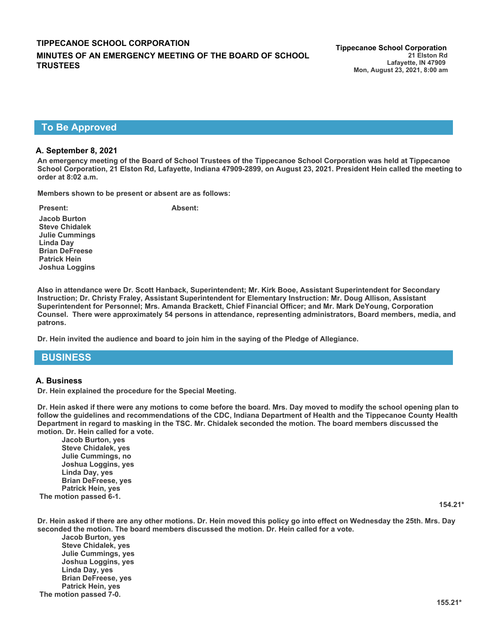## **To Be Approved**

#### **A. September 8, 2021**

**An emergency meeting of the Board of School Trustees of the Tippecanoe School Corporation was held at Tippecanoe School Corporation, 21 Elston Rd, Lafayette, Indiana 47909-2899, on August 23, 2021. President Hein called the meeting to order at 8:02 a.m.**

**Members shown to be present or absent are as follows:**

**Jacob Burton Steve Chidalek Julie Cummings Linda Day Brian DeFreese Patrick Hein Joshua Loggins**

**Present: Absent:**

**Also in attendance were Dr. Scott Hanback, Superintendent; Mr. Kirk Booe, Assistant Superintendent for Secondary Instruction; Dr. Christy Fraley, Assistant Superintendent for Elementary Instruction: Mr. Doug Allison, Assistant Superintendent for Personnel; Mrs. Amanda Brackett, Chief Financial Officer; and Mr. Mark DeYoung, Corporation Counsel. There were approximately 54 persons in attendance, representing administrators, Board members, media, and patrons.**

**Dr. Hein invited the audience and board to join him in the saying of the Pledge of Allegiance.**

## **BUSINESS**

#### **A. Business**

**Dr. Hein explained the procedure for the Special Meeting.**

**Dr. Hein asked if there were any motions to come before the board. Mrs. Day moved to modify the school opening plan to follow the guidelines and recommendations of the CDC, Indiana Department of Health and the Tippecanoe County Health Department in regard to masking in the TSC. Mr. Chidalek seconded the motion. The board members discussed the motion. Dr. Hein called for a vote.** 

**Jacob Burton, yes Steve Chidalek, yes Julie Cummings, no Joshua Loggins, yes Linda Day, yes Brian DeFreese, yes Patrick Hein, yes The motion passed 6-1.** 

**154.21\***

**Dr. Hein asked if there are any other motions. Dr. Hein moved this policy go into effect on Wednesday the 25th. Mrs. Day seconded the motion. The board members discussed the motion. Dr. Hein called for a vote.** 

**Jacob Burton, yes Steve Chidalek, yes Julie Cummings, yes Joshua Loggins, yes Linda Day, yes Brian DeFreese, yes Patrick Hein, yes The motion passed 7-0.**